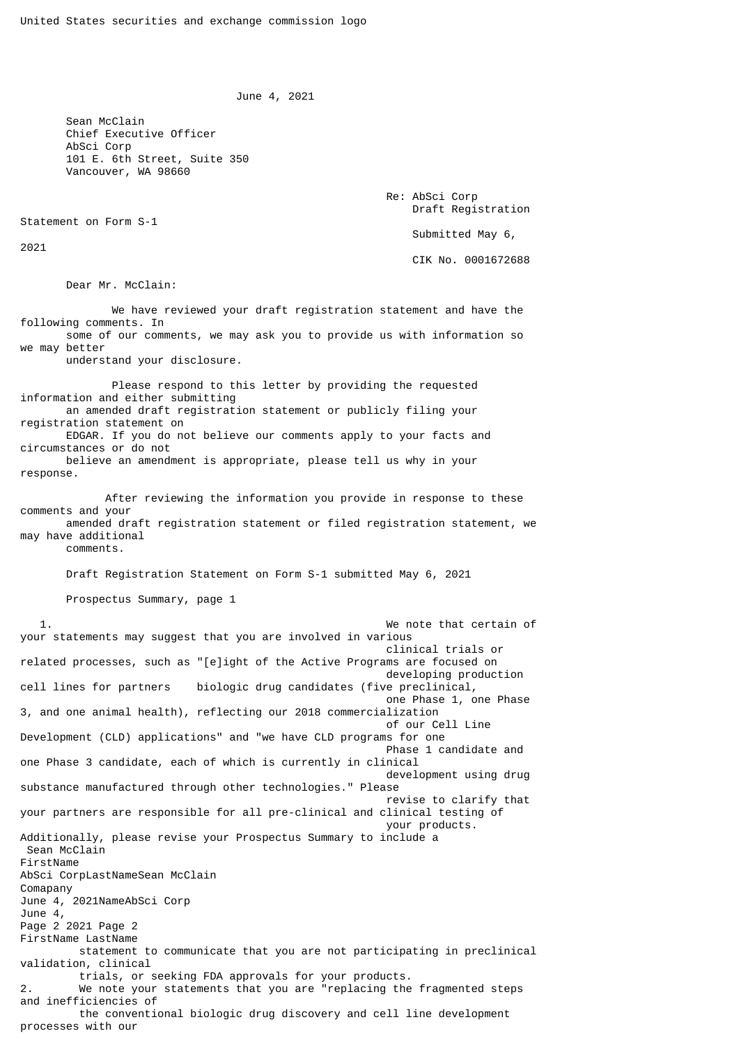June 4, 2021

 Sean McClain Chief Executive Officer AbSci Corp 101 E. 6th Street, Suite 350 Vancouver, WA 98660

> Re: AbSci Corp Draft Registration Submitted May 6, CIK No. 0001672688

Statement on Form S-1

2021

Dear Mr. McClain:

 We have reviewed your draft registration statement and have the following comments. In some of our comments, we may ask you to provide us with information so we may better understand your disclosure.

 Please respond to this letter by providing the requested information and either submitting an amended draft registration statement or publicly filing your registration statement on EDGAR. If you do not believe our comments apply to your facts and circumstances or do not believe an amendment is appropriate, please tell us why in your response.

 After reviewing the information you provide in response to these comments and your amended draft registration statement or filed registration statement, we may have additional

comments.

Draft Registration Statement on Form S-1 submitted May 6, 2021

Prospectus Summary, page 1

 1. We note that certain of your statements may suggest that you are involved in various clinical trials or related processes, such as "[e]ight of the Active Programs are focused on developing production<br>cell lines for partners biologic drug candidates (five preclinical, biologic drug candidates (five preclinical, one Phase 1, one Phase 3, and one animal health), reflecting our 2018 commercialization of our Cell Line Development (CLD) applications" and "we have CLD programs for one Phase 1 candidate and one Phase 3 candidate, each of which is currently in clinical development using drug substance manufactured through other technologies." Please revise to clarify that your partners are responsible for all pre-clinical and clinical testing of your products. Additionally, please revise your Prospectus Summary to include a Sean McClain FirstName AbSci CorpLastNameSean McClain Comapany June 4, 2021NameAbSci Corp June 4, Page 2 2021 Page 2 FirstName LastName statement to communicate that you are not participating in preclinical validation, clinical trials, or seeking FDA approvals for your products. 2. We note your statements that you are "replacing the fragmented steps and inefficiencies of the conventional biologic drug discovery and cell line development processes with our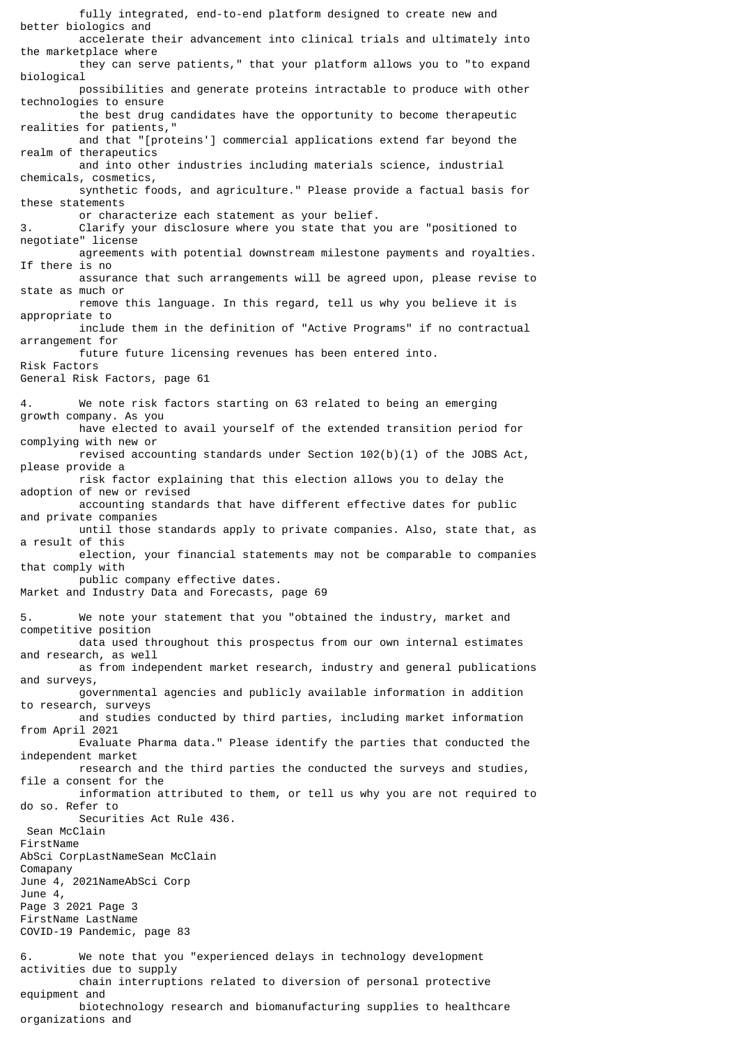fully integrated, end-to-end platform designed to create new and better biologics and accelerate their advancement into clinical trials and ultimately into the marketplace where they can serve patients," that your platform allows you to "to expand biological possibilities and generate proteins intractable to produce with other technologies to ensure the best drug candidates have the opportunity to become therapeutic realities for patients," and that "[proteins'] commercial applications extend far beyond the realm of therapeutics and into other industries including materials science, industrial chemicals, cosmetics, synthetic foods, and agriculture." Please provide a factual basis for these statements or characterize each statement as your belief. 3. Clarify your disclosure where you state that you are "positioned to negotiate" license agreements with potential downstream milestone payments and royalties. If there is no assurance that such arrangements will be agreed upon, please revise to state as much or remove this language. In this regard, tell us why you believe it is appropriate to include them in the definition of "Active Programs" if no contractual arrangement for future future licensing revenues has been entered into. Risk Factors General Risk Factors, page 61 4. We note risk factors starting on 63 related to being an emerging growth company. As you have elected to avail yourself of the extended transition period for complying with new or revised accounting standards under Section  $102(b)(1)$  of the JOBS Act, please provide a risk factor explaining that this election allows you to delay the adoption of new or revised accounting standards that have different effective dates for public and private companies until those standards apply to private companies. Also, state that, as a result of this election, your financial statements may not be comparable to companies that comply with public company effective dates. Market and Industry Data and Forecasts, page 69 5. We note your statement that you "obtained the industry, market and competitive position data used throughout this prospectus from our own internal estimates and research, as well as from independent market research, industry and general publications and surveys, governmental agencies and publicly available information in addition to research, surveys and studies conducted by third parties, including market information from April 2021 Evaluate Pharma data." Please identify the parties that conducted the independent market research and the third parties the conducted the surveys and studies, file a consent for the information attributed to them, or tell us why you are not required to do so. Refer to Securities Act Rule 436. Sean McClain FirstName AbSci CorpLastNameSean McClain Comapany June 4, 2021NameAbSci Corp June 4, Page 3 2021 Page 3 FirstName LastName COVID-19 Pandemic, page 83 6. We note that you "experienced delays in technology development activities due to supply chain interruptions related to diversion of personal protective equipment and biotechnology research and biomanufacturing supplies to healthcare

organizations and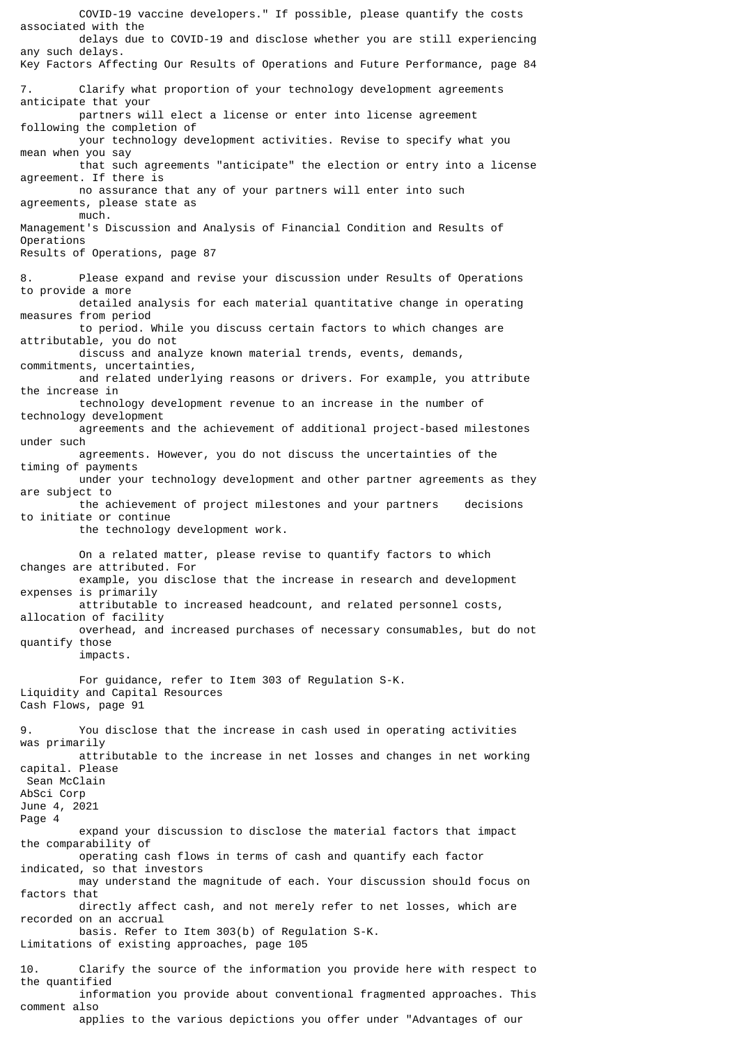COVID-19 vaccine developers." If possible, please quantify the costs associated with the delays due to COVID-19 and disclose whether you are still experiencing any such delays. Key Factors Affecting Our Results of Operations and Future Performance, page 84 7. Clarify what proportion of your technology development agreements anticipate that your partners will elect a license or enter into license agreement following the completion of your technology development activities. Revise to specify what you mean when you say that such agreements "anticipate" the election or entry into a license agreement. If there is no assurance that any of your partners will enter into such agreements, please state as much. Management's Discussion and Analysis of Financial Condition and Results of Operations Results of Operations, page 87 8. Please expand and revise your discussion under Results of Operations to provide a more detailed analysis for each material quantitative change in operating measures from period to period. While you discuss certain factors to which changes are attributable, you do not discuss and analyze known material trends, events, demands, commitments, uncertainties, and related underlying reasons or drivers. For example, you attribute the increase in technology development revenue to an increase in the number of technology development agreements and the achievement of additional project-based milestones under such agreements. However, you do not discuss the uncertainties of the timing of payments under your technology development and other partner agreements as they are subject to the achievement of project milestones and your partners decisions to initiate or continue the technology development work. On a related matter, please revise to quantify factors to which changes are attributed. For example, you disclose that the increase in research and development expenses is primarily attributable to increased headcount, and related personnel costs, allocation of facility overhead, and increased purchases of necessary consumables, but do not quantify those impacts. For guidance, refer to Item 303 of Regulation S-K. Liquidity and Capital Resources Cash Flows, page 91 9. You disclose that the increase in cash used in operating activities was primarily attributable to the increase in net losses and changes in net working capital. Please Sean McClain AbSci Corp June 4, 2021 Page 4 expand your discussion to disclose the material factors that impact the comparability of operating cash flows in terms of cash and quantify each factor indicated, so that investors may understand the magnitude of each. Your discussion should focus on factors that directly affect cash, and not merely refer to net losses, which are recorded on an accrual basis. Refer to Item 303(b) of Regulation S-K. Limitations of existing approaches, page 105 10. Clarify the source of the information you provide here with respect to the quantified information you provide about conventional fragmented approaches. This comment also

applies to the various depictions you offer under "Advantages of our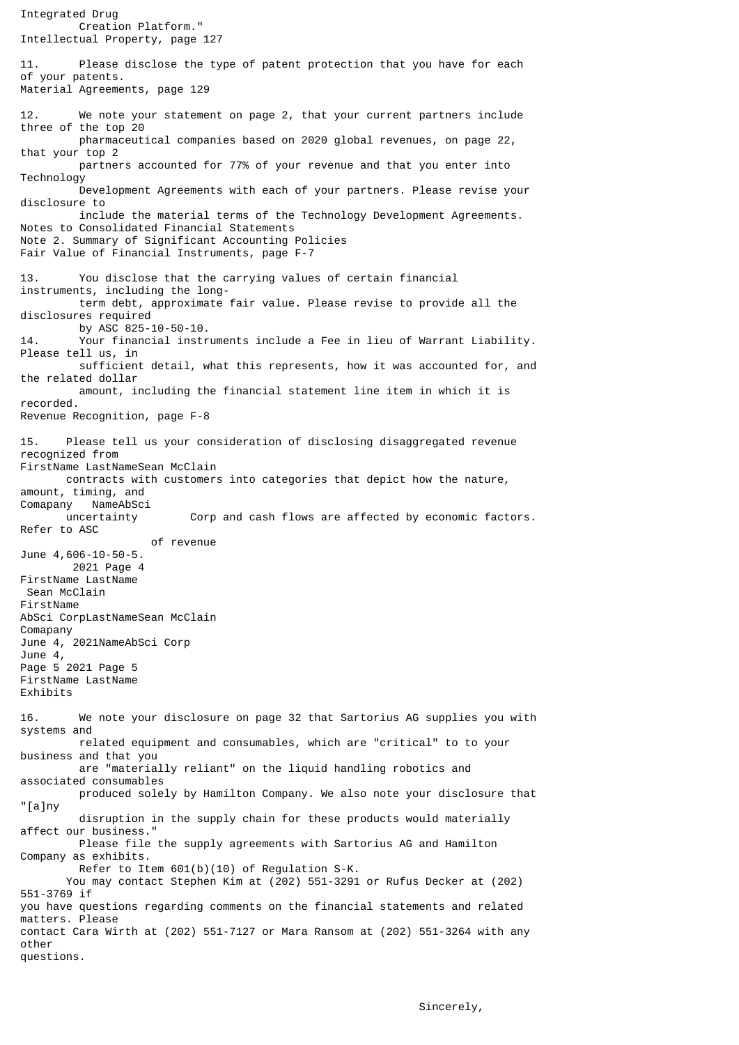Integrated Drug Creation Platform." Intellectual Property, page 127 11. Please disclose the type of patent protection that you have for each of your patents. Material Agreements, page 129 12. We note your statement on page 2, that your current partners include three of the top 20 pharmaceutical companies based on 2020 global revenues, on page 22, that your top 2 partners accounted for 77% of your revenue and that you enter into Technology Development Agreements with each of your partners. Please revise your disclosure to include the material terms of the Technology Development Agreements. Notes to Consolidated Financial Statements Note 2. Summary of Significant Accounting Policies Fair Value of Financial Instruments, page F-7 13. You disclose that the carrying values of certain financial instruments, including the long term debt, approximate fair value. Please revise to provide all the disclosures required by ASC 825-10-50-10.<br>14. Your financial instr Your financial instruments include a Fee in lieu of Warrant Liability. Please tell us, in sufficient detail, what this represents, how it was accounted for, and the related dollar amount, including the financial statement line item in which it is recorded. Revenue Recognition, page F-8 15. Please tell us your consideration of disclosing disaggregated revenue recognized from FirstName LastNameSean McClain contracts with customers into categories that depict how the nature, amount, timing, and Comapany NameAbSci uncertainty Corp and cash flows are affected by economic factors. Refer to ASC of revenue June 4,606-10-50-5. 2021 Page 4 FirstName LastName Sean McClain FirstName AbSci CorpLastNameSean McClain Comapany June 4, 2021NameAbSci Corp June 4, Page 5 2021 Page 5 FirstName LastName Exhibits 16. We note your disclosure on page 32 that Sartorius AG supplies you with systems and related equipment and consumables, which are "critical" to to your business and that you are "materially reliant" on the liquid handling robotics and associated consumables produced solely by Hamilton Company. We also note your disclosure that "[a]ny disruption in the supply chain for these products would materially affect our business." Please file the supply agreements with Sartorius AG and Hamilton Company as exhibits. Refer to Item 601(b)(10) of Regulation S-K. You may contact Stephen Kim at (202) 551-3291 or Rufus Decker at (202) 551-3769 if you have questions regarding comments on the financial statements and related matters. Please contact Cara Wirth at (202) 551-7127 or Mara Ransom at (202) 551-3264 with any other questions.